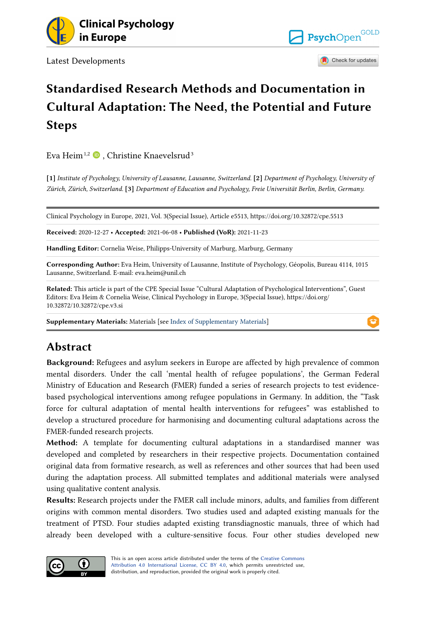

Latest Developments



# **Standardised Research Methods and Documentation in Cultural Adaptation: The Need, the Potential and Future Steps**

Eva Heim<sup>1[,](https://orcid.org/0000-0001-7434-7451)2</sup>  $\bullet$ , Christine Knaevelsrud<sup>3</sup>

**[1]** *Institute of Psychology, University of Lausanne, Lausanne, Switzerland.* **[2]** *Department of Psychology, University of Zürich, Zürich, Switzerland.* **[3]** *Department of Education and Psychology, Freie Universität Berlin, Berlin, Germany.* 

Clinical Psychology in Europe, 2021, Vol. 3(Special Issue), Article e5513, https://doi.org/10.32872/cpe.5513

**Received:** 2020-12-27 • **Accepted:** 2021-06-08 • **Published (VoR):** 2021-11-23

**Handling Editor:** Cornelia Weise, Philipps-University of Marburg, Marburg, Germany

**Corresponding Author:** Eva Heim, University of Lausanne, Institute of Psychology, Géopolis, Bureau 4114, 1015 Lausanne, Switzerland. E-mail: eva.heim@unil.ch

**Related:** This article is part of the CPE Special Issue "Cultural Adaptation of Psychological Interventions", Guest Editors: Eva Heim & Cornelia Weise, Clinical Psychology in Europe, 3(Special Issue), https://doi.org/ 10.32872/10.32872/cpe.v3.si

**Supplementary Materials:** Materials [see [Index of Supplementary Materials\]](#page-10-0)

# **Abstract**

**Background:** Refugees and asylum seekers in Europe are affected by high prevalence of common mental disorders. Under the call 'mental health of refugee populations', the German Federal Ministry of Education and Research (FMER) funded a series of research projects to test evidencebased psychological interventions among refugee populations in Germany. In addition, the "Task force for cultural adaptation of mental health interventions for refugees" was established to develop a structured procedure for harmonising and documenting cultural adaptations across the FMER-funded research projects.

**Method:** A template for documenting cultural adaptations in a standardised manner was developed and completed by researchers in their respective projects. Documentation contained original data from formative research, as well as references and other sources that had been used during the adaptation process. All submitted templates and additional materials were analysed using qualitative content analysis.

**Results:** Research projects under the FMER call include minors, adults, and families from different origins with common mental disorders. Two studies used and adapted existing manuals for the treatment of PTSD. Four studies adapted existing transdiagnostic manuals, three of which had already been developed with a culture-sensitive focus. Four other studies developed new

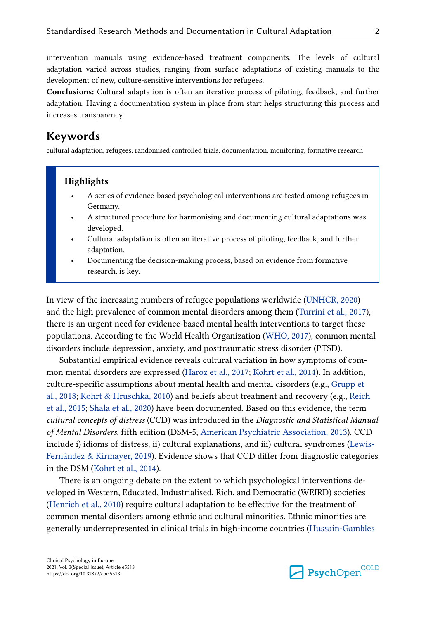intervention manuals using evidence-based treatment components. The levels of cultural adaptation varied across studies, ranging from surface adaptations of existing manuals to the development of new, culture-sensitive interventions for refugees.

**Conclusions:** Cultural adaptation is often an iterative process of piloting, feedback, and further adaptation. Having a documentation system in place from start helps structuring this process and increases transparency.

# **Keywords**

cultural adaptation, refugees, randomised controlled trials, documentation, monitoring, formative research

#### **Highlights**

- A series of evidence-based psychological interventions are tested among refugees in Germany.
- A structured procedure for harmonising and documenting cultural adaptations was developed.
- Cultural adaptation is often an iterative process of piloting, feedback, and further adaptation.
- Documenting the decision-making process, based on evidence from formative research, is key.

In view of the increasing numbers of refugee populations worldwide [\(UNHCR, 2020\)](#page-13-0) and the high prevalence of common mental disorders among them ([Turrini et al., 2017](#page-13-0)), there is an urgent need for evidence-based mental health interventions to target these populations. According to the World Health Organization ([WHO, 2017\)](#page-14-0), common mental disorders include depression, anxiety, and posttraumatic stress disorder (PTSD).

Substantial empirical evidence reveals cultural variation in how symptoms of common mental disorders are expressed [\(Haroz et al., 2017](#page-11-0); [Kohrt et al., 2014](#page-12-0)). In addition, culture-specific assumptions about mental health and mental disorders (e.g., [Grupp et](#page-11-0) [al., 2018;](#page-11-0) [Kohrt & Hruschka, 2010\)](#page-12-0) and beliefs about treatment and recovery (e.g., [Reich](#page-13-0)  [et al., 2015;](#page-13-0) [Shala et al., 2020](#page-13-0)) have been documented. Based on this evidence, the term *cultural concepts of distress* (CCD) was introduced in the *Diagnostic and Statistical Manual of Mental Disorders*, fifth edition (DSM-5, [American Psychiatric Association, 2013](#page-11-0)). CCD include i) idioms of distress, ii) cultural explanations, and iii) cultural syndromes [\(Lewis-](#page-13-0)[Fernández & Kirmayer, 2019\)](#page-13-0). Evidence shows that CCD differ from diagnostic categories in the DSM ([Kohrt et al., 2014\)](#page-12-0).

There is an ongoing debate on the extent to which psychological interventions developed in Western, Educated, Industrialised, Rich, and Democratic (WEIRD) societies [\(Henrich et al., 2010\)](#page-12-0) require cultural adaptation to be effective for the treatment of common mental disorders among ethnic and cultural minorities. Ethnic minorities are generally underrepresented in clinical trials in high-income countries ([Hussain-Gambles](#page-12-0) 

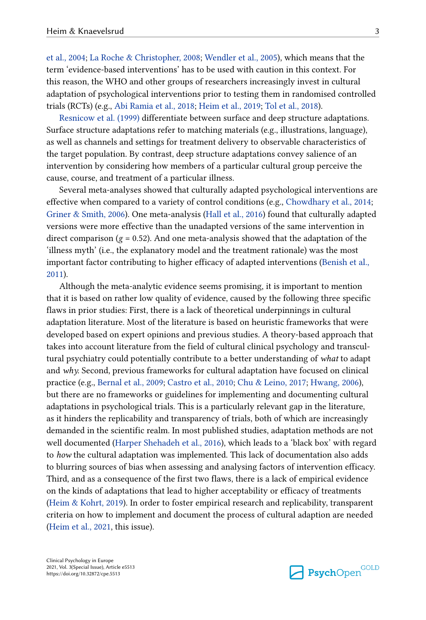[et al., 2004;](#page-12-0) [La Roche & Christopher, 2008](#page-13-0); [Wendler et al., 2005\)](#page-14-0), which means that the term 'evidence-based interventions' has to be used with caution in this context. For this reason, the WHO and other groups of researchers increasingly invest in cultural adaptation of psychological interventions prior to testing them in randomised controlled trials (RCTs) (e.g., [Abi Ramia et al., 2018;](#page-11-0) [Heim et al., 2019](#page-12-0); [Tol et al., 2018\)](#page-13-0).

[Resnicow et al. \(1999\)](#page-13-0) differentiate between surface and deep structure adaptations. Surface structure adaptations refer to matching materials (e.g., illustrations, language), as well as channels and settings for treatment delivery to observable characteristics of the target population. By contrast, deep structure adaptations convey salience of an intervention by considering how members of a particular cultural group perceive the cause, course, and treatment of a particular illness.

Several meta-analyses showed that culturally adapted psychological interventions are effective when compared to a variety of control conditions (e.g., [Chowdhary et al., 2014;](#page-11-0) [Griner & Smith, 2006](#page-11-0)). One meta-analysis [\(Hall et al., 2016\)](#page-11-0) found that culturally adapted versions were more effective than the unadapted versions of the same intervention in direct comparison  $(g = 0.52)$ . And one meta-analysis showed that the adaptation of the 'illness myth' (i.e., the explanatory model and the treatment rationale) was the most important factor contributing to higher efficacy of adapted interventions ([Benish et al.,](#page-11-0)  [2011\)](#page-11-0).

Although the meta-analytic evidence seems promising, it is important to mention that it is based on rather low quality of evidence, caused by the following three specific flaws in prior studies: First, there is a lack of theoretical underpinnings in cultural adaptation literature. Most of the literature is based on heuristic frameworks that were developed based on expert opinions and previous studies. A theory-based approach that takes into account literature from the field of cultural clinical psychology and transcultural psychiatry could potentially contribute to a better understanding of *what* to adapt and *why.* Second, previous frameworks for cultural adaptation have focused on clinical practice (e.g., [Bernal et al., 2009](#page-11-0); [Castro et al., 2010](#page-11-0); [Chu & Leino, 2017](#page-11-0); [Hwang, 2006](#page-12-0)), but there are no frameworks or guidelines for implementing and documenting cultural adaptations in psychological trials. This is a particularly relevant gap in the literature, as it hinders the replicability and transparency of trials, both of which are increasingly demanded in the scientific realm. In most published studies, adaptation methods are not well documented [\(Harper Shehadeh et al., 2016\)](#page-12-0), which leads to a 'black box' with regard to *how* the cultural adaptation was implemented. This lack of documentation also adds to blurring sources of bias when assessing and analysing factors of intervention efficacy. Third, and as a consequence of the first two flaws, there is a lack of empirical evidence on the kinds of adaptations that lead to higher acceptability or efficacy of treatments [\(Heim & Kohrt, 2019](#page-12-0)). In order to foster empirical research and replicability, transparent criteria on how to implement and document the process of cultural adaption are needed [\(Heim et al., 2021,](#page-12-0) this issue).

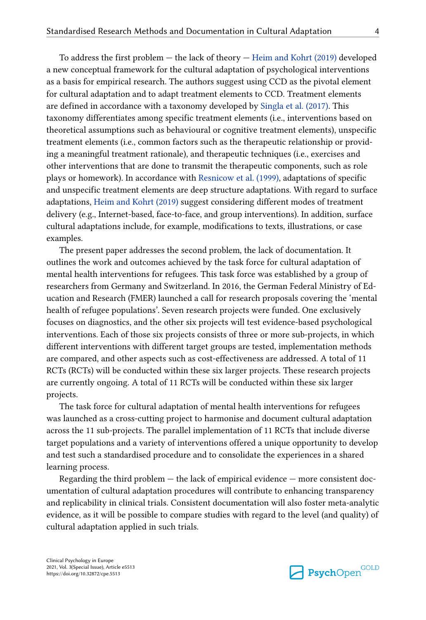To address the first problem — the lack of theory — [Heim and Kohrt \(2019\)](#page-12-0) developed a new conceptual framework for the cultural adaptation of psychological interventions as a basis for empirical research. The authors suggest using CCD as the pivotal element for cultural adaptation and to adapt treatment elements to CCD. Treatment elements are defined in accordance with a taxonomy developed by [Singla et al. \(2017\).](#page-13-0) This taxonomy differentiates among specific treatment elements (i.e., interventions based on theoretical assumptions such as behavioural or cognitive treatment elements), unspecific treatment elements (i.e., common factors such as the therapeutic relationship or providing a meaningful treatment rationale), and therapeutic techniques (i.e., exercises and other interventions that are done to transmit the therapeutic components, such as role plays or homework). In accordance with [Resnicow et al. \(1999\)](#page-13-0), adaptations of specific and unspecific treatment elements are deep structure adaptations. With regard to surface adaptations, [Heim and Kohrt \(2019\)](#page-12-0) suggest considering different modes of treatment delivery (e.g., Internet-based, face-to-face, and group interventions). In addition, surface cultural adaptations include, for example, modifications to texts, illustrations, or case examples.

The present paper addresses the second problem, the lack of documentation. It outlines the work and outcomes achieved by the task force for cultural adaptation of mental health interventions for refugees. This task force was established by a group of researchers from Germany and Switzerland. In 2016, the German Federal Ministry of Education and Research (FMER) launched a call for research proposals covering the 'mental health of refugee populations'. Seven research projects were funded. One exclusively focuses on diagnostics, and the other six projects will test evidence-based psychological interventions. Each of those six projects consists of three or more sub-projects, in which different interventions with different target groups are tested, implementation methods are compared, and other aspects such as cost-effectiveness are addressed. A total of 11 RCTs (RCTs) will be conducted within these six larger projects. These research projects are currently ongoing. A total of 11 RCTs will be conducted within these six larger projects.

The task force for cultural adaptation of mental health interventions for refugees was launched as a cross-cutting project to harmonise and document cultural adaptation across the 11 sub-projects. The parallel implementation of 11 RCTs that include diverse target populations and a variety of interventions offered a unique opportunity to develop and test such a standardised procedure and to consolidate the experiences in a shared learning process.

Regarding the third problem — the lack of empirical evidence — more consistent documentation of cultural adaptation procedures will contribute to enhancing transparency and replicability in clinical trials. Consistent documentation will also foster meta-analytic evidence, as it will be possible to compare studies with regard to the level (and quality) of cultural adaptation applied in such trials.

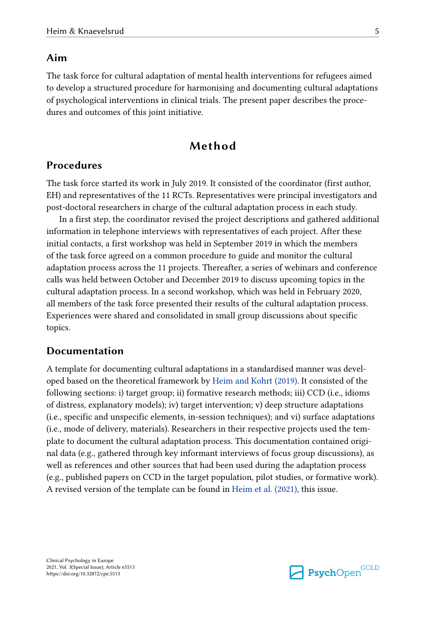### **Aim**

The task force for cultural adaptation of mental health interventions for refugees aimed to develop a structured procedure for harmonising and documenting cultural adaptations of psychological interventions in clinical trials. The present paper describes the procedures and outcomes of this joint initiative.

# **Method**

#### **Procedures**

The task force started its work in July 2019. It consisted of the coordinator (first author, EH) and representatives of the 11 RCTs. Representatives were principal investigators and post-doctoral researchers in charge of the cultural adaptation process in each study.

In a first step, the coordinator revised the project descriptions and gathered additional information in telephone interviews with representatives of each project. After these initial contacts, a first workshop was held in September 2019 in which the members of the task force agreed on a common procedure to guide and monitor the cultural adaptation process across the 11 projects. Thereafter, a series of webinars and conference calls was held between October and December 2019 to discuss upcoming topics in the cultural adaptation process. In a second workshop, which was held in February 2020, all members of the task force presented their results of the cultural adaptation process. Experiences were shared and consolidated in small group discussions about specific topics.

#### **Documentation**

A template for documenting cultural adaptations in a standardised manner was developed based on the theoretical framework by [Heim and Kohrt \(2019\)](#page-12-0). It consisted of the following sections: i) target group; ii) formative research methods; iii) CCD (i.e., idioms of distress, explanatory models); iv) target intervention; v) deep structure adaptations (i.e., specific and unspecific elements, in-session techniques); and vi) surface adaptations (i.e., mode of delivery, materials). Researchers in their respective projects used the template to document the cultural adaptation process. This documentation contained original data (e.g., gathered through key informant interviews of focus group discussions), as well as references and other sources that had been used during the adaptation process (e.g., published papers on CCD in the target population, pilot studies, or formative work). A revised version of the template can be found in [Heim et al. \(2021\)](#page-12-0), this issue.

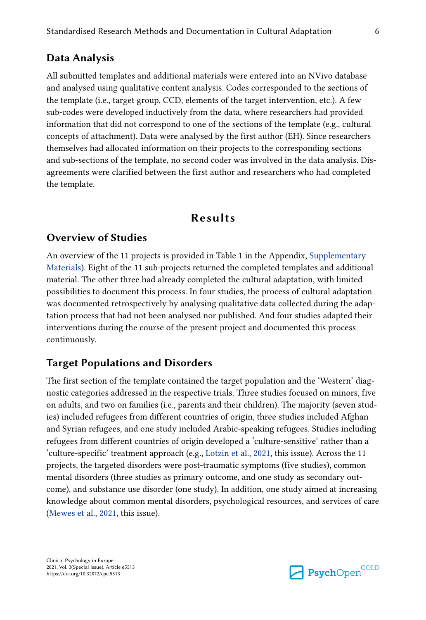#### **Data Analysis**

All submitted templates and additional materials were entered into an NVivo database and analysed using qualitative content analysis. Codes corresponded to the sections of the template (i.e., target group, CCD, elements of the target intervention, etc.). A few sub-codes were developed inductively from the data, where researchers had provided information that did not correspond to one of the sections of the template (e.g., cultural concepts of attachment). Data were analysed by the first author (EH). Since researchers themselves had allocated information on their projects to the corresponding sections and sub-sections of the template, no second coder was involved in the data analysis. Disagreements were clarified between the first author and researchers who had completed the template.

# **Results**

#### **Overview of Studies**

An overview of the 11 projects is provided in Table 1 in the Appendix, [Supplementary](#page-10-0) [Materials](#page-10-0)). Eight of the 11 sub-projects returned the completed templates and additional material. The other three had already completed the cultural adaptation, with limited possibilities to document this process. In four studies, the process of cultural adaptation was documented retrospectively by analysing qualitative data collected during the adaptation process that had not been analysed nor published. And four studies adapted their interventions during the course of the present project and documented this process continuously.

#### **Target Populations and Disorders**

The first section of the template contained the target population and the 'Western' diagnostic categories addressed in the respective trials. Three studies focused on minors, five on adults, and two on families (i.e., parents and their children). The majority (seven studies) included refugees from different countries of origin, three studies included Afghan and Syrian refugees, and one study included Arabic-speaking refugees. Studies including refugees from different countries of origin developed a 'culture-sensitive' rather than a 'culture-specific' treatment approach (e.g., [Lotzin et al., 2021](#page-13-0), this issue). Across the 11 projects, the targeted disorders were post-traumatic symptoms (five studies), common mental disorders (three studies as primary outcome, and one study as secondary outcome), and substance use disorder (one study). In addition, one study aimed at increasing knowledge about common mental disorders, psychological resources, and services of care [\(Mewes et al., 2021,](#page-13-0) this issue).

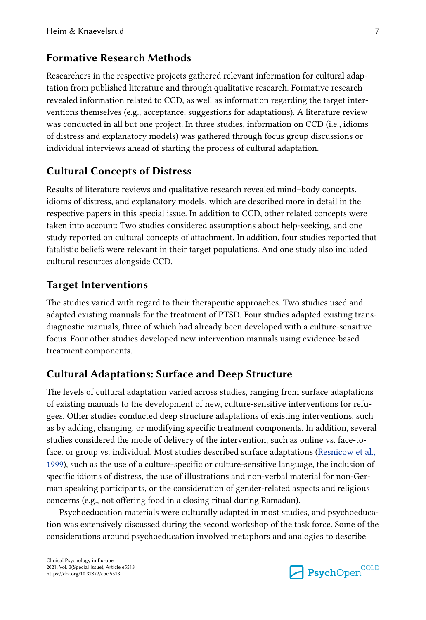# **Formative Research Methods**

Researchers in the respective projects gathered relevant information for cultural adaptation from published literature and through qualitative research. Formative research revealed information related to CCD, as well as information regarding the target interventions themselves (e.g., acceptance, suggestions for adaptations). A literature review was conducted in all but one project. In three studies, information on CCD (i.e., idioms of distress and explanatory models) was gathered through focus group discussions or individual interviews ahead of starting the process of cultural adaptation.

# **Cultural Concepts of Distress**

Results of literature reviews and qualitative research revealed mind–body concepts, idioms of distress, and explanatory models, which are described more in detail in the respective papers in this special issue. In addition to CCD, other related concepts were taken into account: Two studies considered assumptions about help-seeking, and one study reported on cultural concepts of attachment. In addition, four studies reported that fatalistic beliefs were relevant in their target populations. And one study also included cultural resources alongside CCD.

#### **Target Interventions**

The studies varied with regard to their therapeutic approaches. Two studies used and adapted existing manuals for the treatment of PTSD. Four studies adapted existing transdiagnostic manuals, three of which had already been developed with a culture-sensitive focus. Four other studies developed new intervention manuals using evidence-based treatment components.

#### **Cultural Adaptations: Surface and Deep Structure**

The levels of cultural adaptation varied across studies, ranging from surface adaptations of existing manuals to the development of new, culture-sensitive interventions for refugees. Other studies conducted deep structure adaptations of existing interventions, such as by adding, changing, or modifying specific treatment components. In addition, several studies considered the mode of delivery of the intervention, such as online vs. face-toface, or group vs. individual. Most studies described surface adaptations [\(Resnicow et al.,](#page-13-0)  [1999\)](#page-13-0), such as the use of a culture-specific or culture-sensitive language, the inclusion of specific idioms of distress, the use of illustrations and non-verbal material for non-German speaking participants, or the consideration of gender-related aspects and religious concerns (e.g., not offering food in a closing ritual during Ramadan).

Psychoeducation materials were culturally adapted in most studies, and psychoeducation was extensively discussed during the second workshop of the task force. Some of the considerations around psychoeducation involved metaphors and analogies to describe

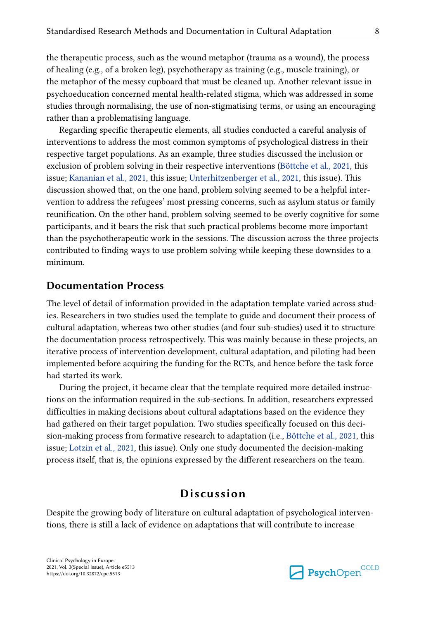the therapeutic process, such as the wound metaphor (trauma as a wound), the process of healing (e.g., of a broken leg), psychotherapy as training (e.g., muscle training), or the metaphor of the messy cupboard that must be cleaned up. Another relevant issue in psychoeducation concerned mental health-related stigma, which was addressed in some studies through normalising, the use of non-stigmatising terms, or using an encouraging rather than a problematising language.

Regarding specific therapeutic elements, all studies conducted a careful analysis of interventions to address the most common symptoms of psychological distress in their respective target populations. As an example, three studies discussed the inclusion or exclusion of problem solving in their respective interventions ([Böttche et al., 2021](#page-11-0), this issue; [Kananian et al., 2021](#page-12-0), this issue; [Unterhitzenberger et al., 2021](#page-13-0), this issue). This discussion showed that, on the one hand, problem solving seemed to be a helpful intervention to address the refugees' most pressing concerns, such as asylum status or family reunification. On the other hand, problem solving seemed to be overly cognitive for some participants, and it bears the risk that such practical problems become more important than the psychotherapeutic work in the sessions. The discussion across the three projects contributed to finding ways to use problem solving while keeping these downsides to a minimum.

#### **Documentation Process**

The level of detail of information provided in the adaptation template varied across studies. Researchers in two studies used the template to guide and document their process of cultural adaptation, whereas two other studies (and four sub-studies) used it to structure the documentation process retrospectively. This was mainly because in these projects, an iterative process of intervention development, cultural adaptation, and piloting had been implemented before acquiring the funding for the RCTs, and hence before the task force had started its work.

During the project, it became clear that the template required more detailed instructions on the information required in the sub-sections. In addition, researchers expressed difficulties in making decisions about cultural adaptations based on the evidence they had gathered on their target population. Two studies specifically focused on this decision-making process from formative research to adaptation (i.e., [Böttche et al., 2021](#page-11-0), this issue; [Lotzin et al., 2021](#page-13-0), this issue). Only one study documented the decision-making process itself, that is, the opinions expressed by the different researchers on the team.

# **Discussion**

Despite the growing body of literature on cultural adaptation of psychological interventions, there is still a lack of evidence on adaptations that will contribute to increase

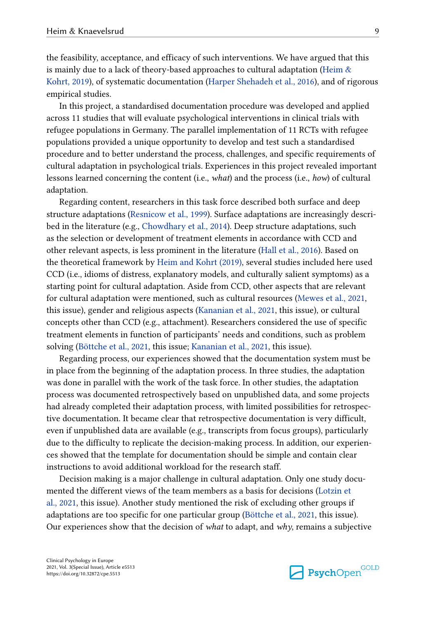the feasibility, acceptance, and efficacy of such interventions. We have argued that this is mainly due to a lack of theory-based approaches to cultural adaptation [\(Heim &](#page-12-0) [Kohrt, 2019\)](#page-12-0), of systematic documentation ([Harper Shehadeh et al., 2016](#page-12-0)), and of rigorous empirical studies.

In this project, a standardised documentation procedure was developed and applied across 11 studies that will evaluate psychological interventions in clinical trials with refugee populations in Germany. The parallel implementation of 11 RCTs with refugee populations provided a unique opportunity to develop and test such a standardised procedure and to better understand the process, challenges, and specific requirements of cultural adaptation in psychological trials. Experiences in this project revealed important lessons learned concerning the content (i.e., *what*) and the process (i.e., *how*) of cultural adaptation.

Regarding content, researchers in this task force described both surface and deep structure adaptations [\(Resnicow et al., 1999\)](#page-13-0). Surface adaptations are increasingly described in the literature (e.g., [Chowdhary et al., 2014](#page-11-0)). Deep structure adaptations, such as the selection or development of treatment elements in accordance with CCD and other relevant aspects, is less prominent in the literature ([Hall et al., 2016](#page-11-0)). Based on the theoretical framework by [Heim and Kohrt \(2019\),](#page-12-0) several studies included here used CCD (i.e., idioms of distress, explanatory models, and culturally salient symptoms) as a starting point for cultural adaptation. Aside from CCD, other aspects that are relevant for cultural adaptation were mentioned, such as cultural resources ([Mewes et al., 2021,](#page-13-0) this issue), gender and religious aspects ([Kananian et al., 2021](#page-12-0), this issue), or cultural concepts other than CCD (e.g., attachment). Researchers considered the use of specific treatment elements in function of participants' needs and conditions, such as problem solving [\(Böttche et al., 2021,](#page-11-0) this issue; [Kananian et al., 2021,](#page-12-0) this issue).

Regarding process, our experiences showed that the documentation system must be in place from the beginning of the adaptation process. In three studies, the adaptation was done in parallel with the work of the task force. In other studies, the adaptation process was documented retrospectively based on unpublished data, and some projects had already completed their adaptation process, with limited possibilities for retrospective documentation. It became clear that retrospective documentation is very difficult, even if unpublished data are available (e.g., transcripts from focus groups), particularly due to the difficulty to replicate the decision-making process. In addition, our experiences showed that the template for documentation should be simple and contain clear instructions to avoid additional workload for the research staff.

Decision making is a major challenge in cultural adaptation. Only one study documented the different views of the team members as a basis for decisions ([Lotzin et](#page-13-0)  [al., 2021,](#page-13-0) this issue). Another study mentioned the risk of excluding other groups if adaptations are too specific for one particular group [\(Böttche et al., 2021,](#page-11-0) this issue). Our experiences show that the decision of *what* to adapt, and *why*, remains a subjective

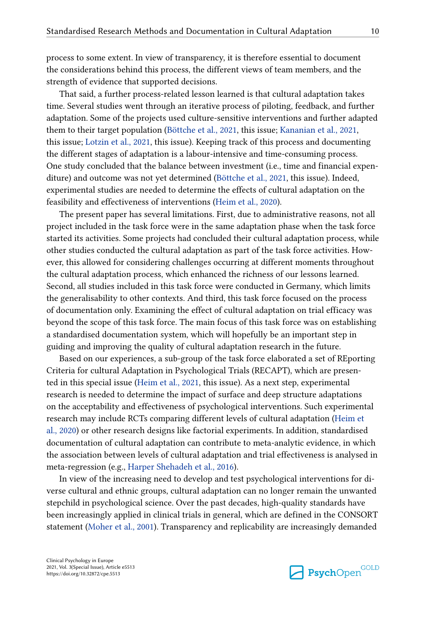process to some extent. In view of transparency, it is therefore essential to document the considerations behind this process, the different views of team members, and the strength of evidence that supported decisions.

That said, a further process-related lesson learned is that cultural adaptation takes time. Several studies went through an iterative process of piloting, feedback, and further adaptation. Some of the projects used culture-sensitive interventions and further adapted them to their target population [\(Böttche et al., 2021](#page-11-0), this issue; [Kananian et al., 2021,](#page-12-0) this issue; [Lotzin et al., 2021](#page-13-0), this issue). Keeping track of this process and documenting the different stages of adaptation is a labour-intensive and time-consuming process. One study concluded that the balance between investment (i.e., time and financial expenditure) and outcome was not yet determined ([Böttche et al., 2021,](#page-11-0) this issue). Indeed, experimental studies are needed to determine the effects of cultural adaptation on the feasibility and effectiveness of interventions ([Heim et al., 2020\)](#page-12-0).

The present paper has several limitations. First, due to administrative reasons, not all project included in the task force were in the same adaptation phase when the task force started its activities. Some projects had concluded their cultural adaptation process, while other studies conducted the cultural adaptation as part of the task force activities. However, this allowed for considering challenges occurring at different moments throughout the cultural adaptation process, which enhanced the richness of our lessons learned. Second, all studies included in this task force were conducted in Germany, which limits the generalisability to other contexts. And third, this task force focused on the process of documentation only. Examining the effect of cultural adaptation on trial efficacy was beyond the scope of this task force. The main focus of this task force was on establishing a standardised documentation system, which will hopefully be an important step in guiding and improving the quality of cultural adaptation research in the future.

Based on our experiences, a sub-group of the task force elaborated a set of REporting Criteria for cultural Adaptation in Psychological Trials (RECAPT), which are presented in this special issue ([Heim et al., 2021](#page-12-0), this issue). As a next step, experimental research is needed to determine the impact of surface and deep structure adaptations on the acceptability and effectiveness of psychological interventions. Such experimental research may include RCTs comparing different levels of cultural adaptation ([Heim et](#page-12-0) [al., 2020\)](#page-12-0) or other research designs like factorial experiments. In addition, standardised documentation of cultural adaptation can contribute to meta-analytic evidence, in which the association between levels of cultural adaptation and trial effectiveness is analysed in meta-regression (e.g., [Harper Shehadeh et al., 2016\)](#page-12-0).

In view of the increasing need to develop and test psychological interventions for diverse cultural and ethnic groups, cultural adaptation can no longer remain the unwanted stepchild in psychological science. Over the past decades, high-quality standards have been increasingly applied in clinical trials in general, which are defined in the CONSORT statement ([Moher et al., 2001](#page-13-0)). Transparency and replicability are increasingly demanded

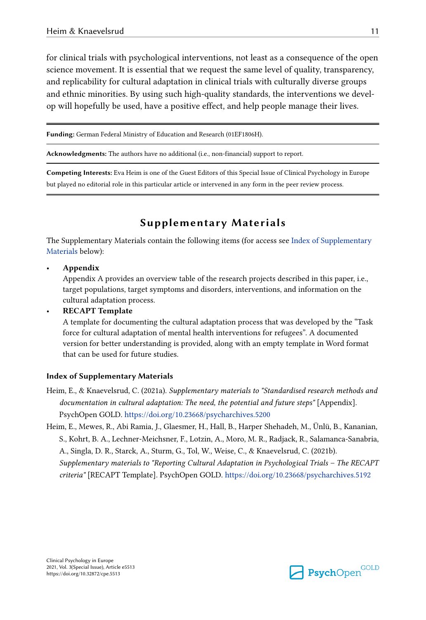<span id="page-10-0"></span>for clinical trials with psychological interventions, not least as a consequence of the open science movement. It is essential that we request the same level of quality, transparency, and replicability for cultural adaptation in clinical trials with culturally diverse groups and ethnic minorities. By using such high-quality standards, the interventions we develop will hopefully be used, have a positive effect, and help people manage their lives.

**Funding:** German Federal Ministry of Education and Research (01EF1806H).

**Acknowledgments:** The authors have no additional (i.e., non-financial) support to report.

**Competing Interests:** Eva Heim is one of the Guest Editors of this Special Issue of Clinical Psychology in Europe but played no editorial role in this particular article or intervened in any form in the peer review process.

# **Supplementary Materials**

The Supplementary Materials contain the following items (for access see Index of Supplementary Materials below):

• **Appendix**

Appendix A provides an overview table of the research projects described in this paper, i.e., target populations, target symptoms and disorders, interventions, and information on the cultural adaptation process.

• **RECAPT Template**

A template for documenting the cultural adaptation process that was developed by the "Task force for cultural adaptation of mental health interventions for refugees". A documented version for better understanding is provided, along with an empty template in Word format that can be used for future studies.

#### **Index of Supplementary Materials**

- Heim, E., & Knaevelsrud, C. (2021a). *Supplementary materials to "Standardised research methods and documentation in cultural adaptation: The need, the potential and future steps"* [Appendix]. PsychOpen GOLD. <https://doi.org/10.23668/psycharchives.5200>
- Heim, E., Mewes, R., Abi Ramia, J., Glaesmer, H., Hall, B., Harper Shehadeh, M., Ünlü, B., Kananian, S., Kohrt, B. A., Lechner-Meichsner, F., Lotzin, A., Moro, M. R., Radjack, R., Salamanca-Sanabria, A., Singla, D. R., Starck, A., Sturm, G., Tol, W., Weise, C., & Knaevelsrud, C. (2021b). *Supplementary materials to "Reporting Cultural Adaptation in Psychological Trials – The RECAPT criteria"* [RECAPT Template]. PsychOpen GOLD.<https://doi.org/10.23668/psycharchives.5192>

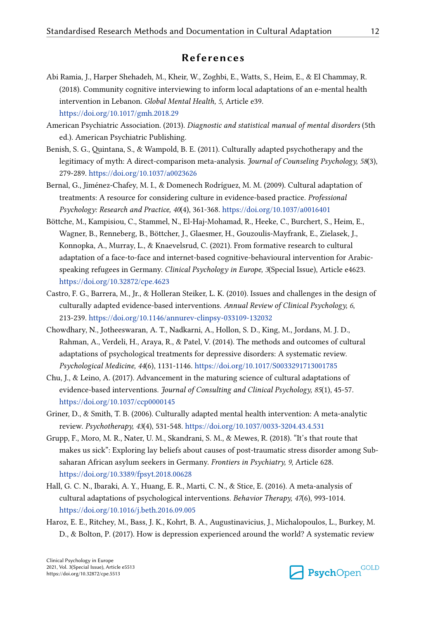# **References**

- <span id="page-11-0"></span>Abi Ramia, J., Harper Shehadeh, M., Kheir, W., Zoghbi, E., Watts, S., Heim, E., & El Chammay, R. (2018). Community cognitive interviewing to inform local adaptations of an e-mental health intervention in Lebanon. *Global Mental Health, 5*, Article e39. <https://doi.org/10.1017/gmh.2018.29>
- American Psychiatric Association. (2013). *Diagnostic and statistical manual of mental disorders* (5th ed.). American Psychiatric Publishing.
- Benish, S. G., Quintana, S., & Wampold, B. E. (2011). Culturally adapted psychotherapy and the legitimacy of myth: A direct-comparison meta-analysis. *Journal of Counseling Psychology, 58*(3), 279-289. <https://doi.org/10.1037/a0023626>
- Bernal, G., Jiménez-Chafey, M. I., & Domenech Rodríguez, M. M. (2009). Cultural adaptation of treatments: A resource for considering culture in evidence-based practice. *Professional Psychology: Research and Practice, 40*(4), 361-368.<https://doi.org/10.1037/a0016401>
- Böttche, M., Kampisiou, C., Stammel, N., El-Haj-Mohamad, R., Heeke, C., Burchert, S., Heim, E., Wagner, B., Renneberg, B., Böttcher, J., Glaesmer, H., Gouzoulis-Mayfrank, E., Zielasek, J., Konnopka, A., Murray, L., & Knaevelsrud, C. (2021). From formative research to cultural adaptation of a face-to-face and internet-based cognitive-behavioural intervention for Arabicspeaking refugees in Germany. *Clinical Psychology in Europe, 3*(Special Issue), Article e4623. <https://doi.org/10.32872/cpe.4623>
- Castro, F. G., Barrera, M., Jr., & Holleran Steiker, L. K. (2010). Issues and challenges in the design of culturally adapted evidence-based interventions. *Annual Review of Clinical Psychology, 6*, 213-239. <https://doi.org/10.1146/annurev-clinpsy-033109-132032>
- Chowdhary, N., Jotheeswaran, A. T., Nadkarni, A., Hollon, S. D., King, M., Jordans, M. J. D., Rahman, A., Verdeli, H., Araya, R., & Patel, V. (2014). The methods and outcomes of cultural adaptations of psychological treatments for depressive disorders: A systematic review. *Psychological Medicine, 44*(6), 1131-1146. <https://doi.org/10.1017/S0033291713001785>
- Chu, J., & Leino, A. (2017). Advancement in the maturing science of cultural adaptations of evidence-based interventions. *Journal of Consulting and Clinical Psychology, 85*(1), 45-57. <https://doi.org/10.1037/ccp0000145>
- Griner, D., & Smith, T. B. (2006). Culturally adapted mental health intervention: A meta-analytic review. *Psychotherapy, 43*(4), 531-548.<https://doi.org/10.1037/0033-3204.43.4.531>
- Grupp, F., Moro, M. R., Nater, U. M., Skandrani, S. M., & Mewes, R. (2018). "It's that route that makes us sick": Exploring lay beliefs about causes of post-traumatic stress disorder among Subsaharan African asylum seekers in Germany. *Frontiers in Psychiatry, 9*, Article 628. <https://doi.org/10.3389/fpsyt.2018.00628>
- Hall, G. C. N., Ibaraki, A. Y., Huang, E. R., Marti, C. N., & Stice, E. (2016). A meta-analysis of cultural adaptations of psychological interventions. *Behavior Therapy, 47*(6), 993-1014. <https://doi.org/10.1016/j.beth.2016.09.005>
- Haroz, E. E., Ritchey, M., Bass, J. K., Kohrt, B. A., Augustinavicius, J., Michalopoulos, L., Burkey, M. D., & Bolton, P. (2017). How is depression experienced around the world? A systematic review

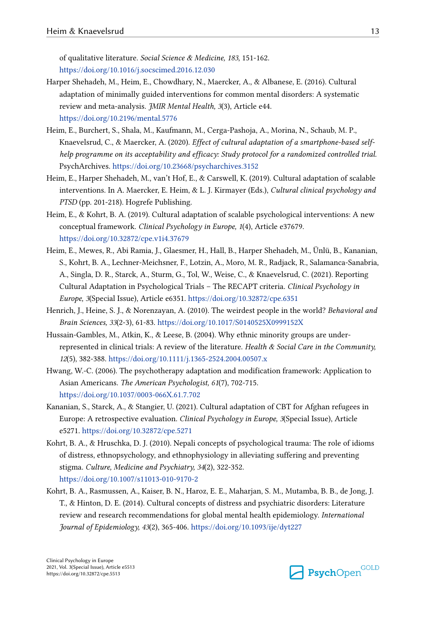<span id="page-12-0"></span>of qualitative literature. *Social Science & Medicine, 183*, 151-162. <https://doi.org/10.1016/j.socscimed.2016.12.030>

- Harper Shehadeh, M., Heim, E., Chowdhary, N., Maercker, A., & Albanese, E. (2016). Cultural adaptation of minimally guided interventions for common mental disorders: A systematic review and meta-analysis. *JMIR Mental Health, 3*(3), Article e44. <https://doi.org/10.2196/mental.5776>
- Heim, E., Burchert, S., Shala, M., Kaufmann, M., Cerga-Pashoja, A., Morina, N., Schaub, M. P., Knaevelsrud, C., & Maercker, A. (2020). *Effect of cultural adaptation of a smartphone-based selfhelp programme on its acceptability and efficacy: Study protocol for a randomized controlled trial.*  PsychArchives. <https://doi.org/10.23668/psycharchives.3152>
- Heim, E., Harper Shehadeh, M., van't Hof, E., & Carswell, K. (2019). Cultural adaptation of scalable interventions. In A. Maercker, E. Heim, & L. J. Kirmayer (Eds.), *Cultural clinical psychology and PTSD* (pp. 201-218). Hogrefe Publishing.
- Heim, E., & Kohrt, B. A. (2019). Cultural adaptation of scalable psychological interventions: A new conceptual framework. *Clinical Psychology in Europe, 1*(4), Article e37679. <https://doi.org/10.32872/cpe.v1i4.37679>
- Heim, E., Mewes, R., Abi Ramia, J., Glaesmer, H., Hall, B., Harper Shehadeh, M., Ünlü, B., Kananian, S., Kohrt, B. A., Lechner-Meichsner, F., Lotzin, A., Moro, M. R., Radjack, R., Salamanca-Sanabria, A., Singla, D. R., Starck, A., Sturm, G., Tol, W., Weise, C., & Knaevelsrud, C. (2021). Reporting Cultural Adaptation in Psychological Trials – The RECAPT criteria. *Clinical Psychology in Europe, 3*(Special Issue), Article e6351. <https://doi.org/10.32872/cpe.6351>
- Henrich, J., Heine, S. J., & Norenzayan, A. (2010). The weirdest people in the world? *Behavioral and Brain Sciences, 33*(2-3), 61-83.<https://doi.org/10.1017/S0140525X0999152X>
- Hussain-Gambles, M., Atkin, K., & Leese, B. (2004). Why ethnic minority groups are underrepresented in clinical trials: A review of the literature. *Health & Social Care in the Community, 12*(5), 382-388.<https://doi.org/10.1111/j.1365-2524.2004.00507.x>
- Hwang, W.-C. (2006). The psychotherapy adaptation and modification framework: Application to Asian Americans. *The American Psychologist, 61*(7), 702-715. <https://doi.org/10.1037/0003-066X.61.7.702>
- Kananian, S., Starck, A., & Stangier, U. (2021). Cultural adaptation of CBT for Afghan refugees in Europe: A retrospective evaluation. *Clinical Psychology in Europe, 3*(Special Issue), Article e5271.<https://doi.org/10.32872/cpe.5271>
- Kohrt, B. A., & Hruschka, D. J. (2010). Nepali concepts of psychological trauma: The role of idioms of distress, ethnopsychology, and ethnophysiology in alleviating suffering and preventing stigma. *Culture, Medicine and Psychiatry, 34*(2), 322-352. <https://doi.org/10.1007/s11013-010-9170-2>
- Kohrt, B. A., Rasmussen, A., Kaiser, B. N., Haroz, E. E., Maharjan, S. M., Mutamba, B. B., de Jong, J. T., & Hinton, D. E. (2014). Cultural concepts of distress and psychiatric disorders: Literature review and research recommendations for global mental health epidemiology. *International Journal of Epidemiology, 43*(2), 365-406. <https://doi.org/10.1093/ije/dyt227>

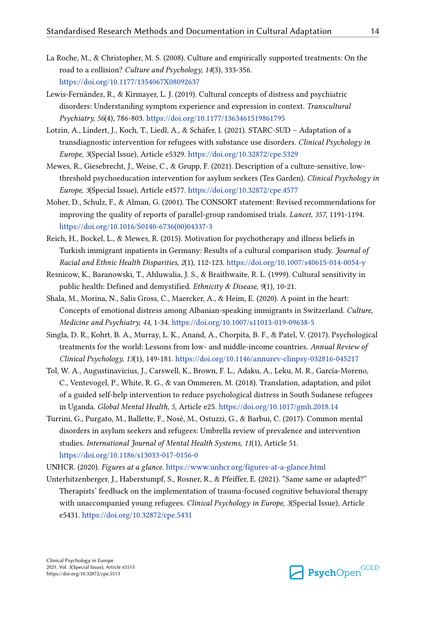- <span id="page-13-0"></span>La Roche, M., & Christopher, M. S. (2008). Culture and empirically supported treatments: On the road to a collision? *Culture and Psychology, 14*(3), 333-356. <https://doi.org/10.1177/1354067X08092637>
- Lewis-Fernández, R., & Kirmayer, L. J. (2019). Cultural concepts of distress and psychiatric disorders: Understanding symptom experience and expression in context. *Transcultural Psychiatry, 56*(4), 786-803. <https://doi.org/10.1177/1363461519861795>
- Lotzin, A., Lindert, J., Koch, T., Liedl, A., & Schäfer, I. (2021). STARC-SUD Adaptation of a transdiagnostic intervention for refugees with substance use disorders. *Clinical Psychology in Europe, 3*(Special Issue), Article e5329. <https://doi.org/10.32872/cpe.5329>
- Mewes, R., Giesebrecht, J., Weise, C., & Grupp, F. (2021). Description of a culture-sensitive, lowthreshold psychoeducation intervention for asylum seekers (Tea Garden). *Clinical Psychology in Europe, 3*(Special Issue), Article e4577. <https://doi.org/10.32872/cpe.4577>
- Moher, D., Schulz, F., & Alman, G. (2001). The CONSORT statement: Revised recommendations for improving the quality of reports of parallel-group randomised trials. *Lancet, 357*, 1191-1194. [https://doi.org/10.1016/S0140-6736\(00\)04337-3](https://doi.org/10.1016/S0140-6736(00)04337-3)
- Reich, H., Bockel, L., & Mewes, R. (2015). Motivation for psychotherapy and illness beliefs in Turkish immigrant inpatients in Germany: Results of a cultural comparison study. *Journal of Racial and Ethnic Health Disparities, 2*(1), 112-123. <https://doi.org/10.1007/s40615-014-0054-y>
- Resnicow, K., Baranowski, T., Ahluwalia, J. S., & Braithwaite, R. L. (1999). Cultural sensitivity in public health: Defined and demystified. *Ethnicity & Disease, 9*(1), 10-21.
- Shala, M., Morina, N., Salis Gross, C., Maercker, A., & Heim, E. (2020). A point in the heart: Concepts of emotional distress among Albanian-speaking immigrants in Switzerland. *Culture, Medicine and Psychiatry, 44*, 1-34. <https://doi.org/10.1007/s11013-019-09638-5>
- Singla, D. R., Kohrt, B. A., Murray, L. K., Anand, A., Chorpita, B. F., & Patel, V. (2017). Psychological treatments for the world: Lessons from low- and middle-income countries. *Annual Review of Clinical Psychology, 13*(1), 149-181. <https://doi.org/10.1146/annurev-clinpsy-032816-045217>
- Tol, W. A., Augustinavicius, J., Carswell, K., Brown, F. L., Adaku, A., Leku, M. R., García-Moreno, C., Ventevogel, P., White, R. G., & van Ommeren, M. (2018). Translation, adaptation, and pilot of a guided self-help intervention to reduce psychological distress in South Sudanese refugees in Uganda. *Global Mental Health, 5*, Article e25.<https://doi.org/10.1017/gmh.2018.14>
- Turrini, G., Purgato, M., Ballette, F., Nosè, M., Ostuzzi, G., & Barbui, C. (2017). Common mental disorders in asylum seekers and refugees: Umbrella review of prevalence and intervention studies. *International Journal of Mental Health Systems, 11*(1), Article 51. <https://doi.org/10.1186/s13033-017-0156-0>
- UNHCR. (2020). *Figures at a glance*.<https://www.unhcr.org/figures-at-a-glance.html>
- Unterhitzenberger, J., Haberstumpf, S., Rosner, R., & Pfeiffer, E. (2021). "Same same or adapted?" Therapists' feedback on the implementation of trauma-focused cognitive behavioral therapy with unaccompanied young refugees. *Clinical Psychology in Europe, 3*(Special Issue), Article e5431.<https://doi.org/10.32872/cpe.5431>